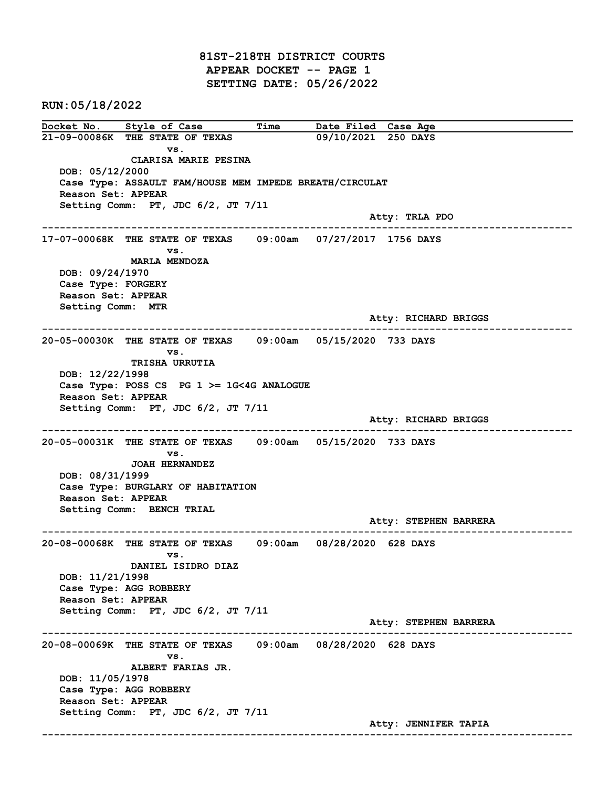81ST-218TH DISTRICT COURTS APPEAR DOCKET -- PAGE 1 SETTING DATE: 05/26/2022

RUN:05/18/2022

Docket No. Style of Case Time Date Filed Case Age<br>21-09-00086K THE STATE OF TEXAS 09/10/2021 250 DAYS 21-09-00086K THE STATE OF TEXAS vs. CLARISA MARIE PESINA DOB: 05/12/2000 Case Type: ASSAULT FAM/HOUSE MEM IMPEDE BREATH/CIRCULAT Reason Set: APPEAR Setting Comm: PT, JDC 6/2, JT 7/11 Atty: TRLA PDO ------------------------------------------------------------------------------------------------------------------------ 17-07-00068K THE STATE OF TEXAS 09:00am 07/27/2017 1756 DAYS vs. MARLA MENDOZA DOB: 09/24/1970 Case Type: FORGERY Reason Set: APPEAR Setting Comm: MTR Atty: RICHARD BRIGGS ------------------------------------------------------------------------------------------------------------------------ 20-05-00030K THE STATE OF TEXAS 09:00am 05/15/2020 733 DAYS vs. TRISHA URRUTIA DOB: 12/22/1998 Case Type: POSS CS PG  $1$  >= 1G<4G ANALOGUE Reason Set: APPEAR Setting Comm: PT, JDC 6/2, JT 7/11 Atty: RICHARD BRIGGS ------------------------------------------------------------------------------------------------------------------------ 20-05-00031K THE STATE OF TEXAS 09:00am 05/15/2020 733 DAYS vs. JOAH HERNANDEZ DOB: 08/31/1999 Case Type: BURGLARY OF HABITATION Reason Set: APPEAR Setting Comm: BENCH TRIAL Atty: STEPHEN BARRERA ------------------------------------------------------------------------------------------------------------------------ 20-08-00068K THE STATE OF TEXAS 09:00am 08/28/2020 628 DAYS vs. DANIEL ISIDRO DIAZ DOB: 11/21/1998 Case Type: AGG ROBBERY Reason Set: APPEAR Setting Comm: PT, JDC 6/2, JT 7/11 Atty: STEPHEN BARRERA ------------------------------------------------------------------------------------------------------------------------ 20-08-00069K THE STATE OF TEXAS 09:00am 08/28/2020 628 DAYS vs. ALBERT FARIAS JR. DOB: 11/05/1978 Case Type: AGG ROBBERY Reason Set: APPEAR Setting Comm: PT, JDC 6/2, JT 7/11 Atty: JENNIFER TAPIA ------------------------------------------------------------------------------------------------------------------------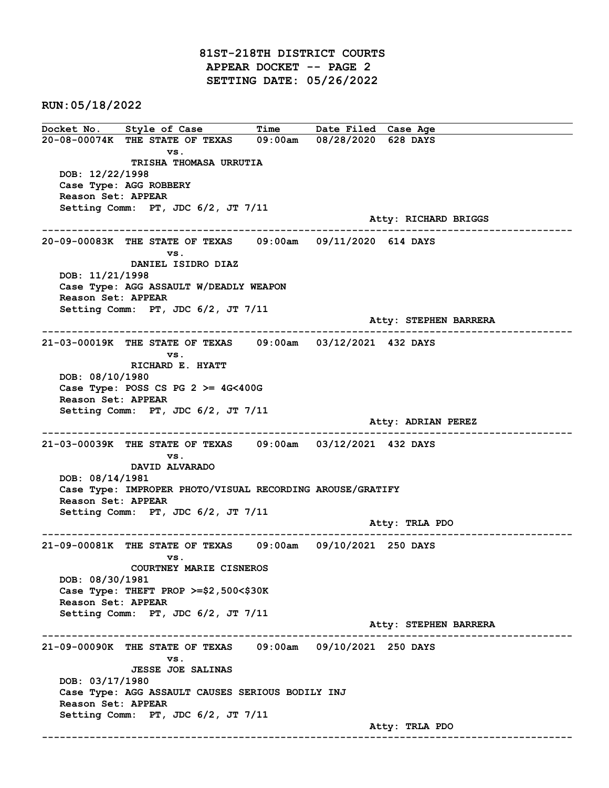81ST-218TH DISTRICT COURTS APPEAR DOCKET -- PAGE 2 SETTING DATE: 05/26/2022

RUN:05/18/2022

Docket No. Style of Case Time Date Filed Case Age 20-08-00074K THE STATE OF TEXAS 09:00am 08/28/2020 628 DAYS vs. TRISHA THOMASA URRUTIA DOB: 12/22/1998 Case Type: AGG ROBBERY Reason Set: APPEAR Setting Comm: PT, JDC 6/2, JT 7/11 Atty: RICHARD BRIGGS ------------------------------------------------------------------------------------------------------------------------ 20-09-00083K THE STATE OF TEXAS 09:00am 09/11/2020 614 DAYS vs. DANIEL ISIDRO DIAZ DOB: 11/21/1998 Case Type: AGG ASSAULT W/DEADLY WEAPON Reason Set: APPEAR Setting Comm: PT, JDC 6/2, JT 7/11 Atty: STEPHEN BARRERA ------------------------------------------------------------------------------------------------------------------------ 21-03-00019K THE STATE OF TEXAS 09:00am 03/12/2021 432 DAYS vs. RICHARD E. HYATT DOB: 08/10/1980 Case Type: POSS CS PG  $2 \ge 4$ G<400G Reason Set: APPEAR Setting Comm: PT, JDC 6/2, JT 7/11 Atty: ADRIAN PEREZ ------------------------------------------------------------------------------------------------------------------------ 21-03-00039K THE STATE OF TEXAS 09:00am 03/12/2021 432 DAYS vs. DAVID ALVARADO DOB: 08/14/1981 Case Type: IMPROPER PHOTO/VISUAL RECORDING AROUSE/GRATIFY Reason Set: APPEAR Setting Comm: PT, JDC 6/2, JT 7/11 Atty: TRLA PDO ------------------------------------------------------------------------------------------------------------------------ 21-09-00081K THE STATE OF TEXAS 09:00am 09/10/2021 250 DAYS vs. COURTNEY MARIE CISNEROS DOB: 08/30/1981 Case Type: THEFT PROP >=\$2,500<\$30K Reason Set: APPEAR Setting Comm: PT, JDC 6/2, JT 7/11 Atty: STEPHEN BARRERA ------------------------------------------------------------------------------------------------------------------------ 21-09-00090K THE STATE OF TEXAS 09:00am 09/10/2021 250 DAYS vs. JESSE JOE SALINAS DOB: 03/17/1980 Case Type: AGG ASSAULT CAUSES SERIOUS BODILY INJ Reason Set: APPEAR Setting Comm: PT, JDC 6/2, JT 7/11 Atty: TRLA PDO ------------------------------------------------------------------------------------------------------------------------